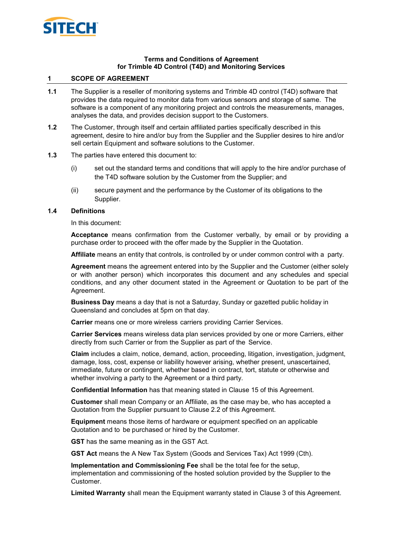

#### **Terms and Conditions of Agreement for Trimble 4D Control (T4D) and Monitoring Services**

### **1 SCOPE OF AGREEMENT**

- **1.1** The Supplier is a reseller of monitoring systems and Trimble 4D control (T4D) software that provides the data required to monitor data from various sensors and storage of same. The software is a component of any monitoring project and controls the measurements, manages, analyses the data, and provides decision support to the Customers.
- **1.2** The Customer, through itself and certain affiliated parties specifically described in this agreement, desire to hire and/or buy from the Supplier and the Supplier desires to hire and/or sell certain Equipment and software solutions to the Customer.
- **1.3** The parties have entered this document to:
	- (i) set out the standard terms and conditions that will apply to the hire and/or purchase of the T4D software solution by the Customer from the Supplier; and
	- (ii) secure payment and the performance by the Customer of its obligations to the Supplier.

#### **1.4 Definitions**

#### In this document:

**Acceptance** means confirmation from the Customer verbally, by email or by providing a purchase order to proceed with the offer made by the Supplier in the Quotation.

**Affiliate** means an entity that controls, is controlled by or under common control with a party.

**Agreement** means the agreement entered into by the Supplier and the Customer (either solely or with another person) which incorporates this document and any schedules and special conditions, and any other document stated in the Agreement or Quotation to be part of the Agreement.

**Business Day** means a day that is not a Saturday, Sunday or gazetted public holiday in Queensland and concludes at 5pm on that day.

**Carrier** means one or more wireless carriers providing Carrier Services.

**Carrier Services** means wireless data plan services provided by one or more Carriers, either directly from such Carrier or from the Supplier as part of the Service.

**Claim** includes a claim, notice, demand, action, proceeding, litigation, investigation, judgment, damage, loss, cost, expense or liability however arising, whether present, unascertained, immediate, future or contingent, whether based in contract, tort, statute or otherwise and whether involving a party to the Agreement or a third party.

**Confidential Information** has that meaning stated in Clause [15](#page-10-0) of this Agreement.

**Customer** shall mean Company or an Affiliate, as the case may be, who has accepted a Quotation from the Supplier pursuant to Clause [2.2](#page-2-0) of this Agreement.

**Equipment** means those items of hardware or equipment specified on an applicable Quotation and to be purchased or hired by the Customer.

**GST** has the same meaning as in the GST Act.

**GST Act** means the A New Tax System (Goods and Services Tax) Act 1999 (Cth).

**Implementation and Commissioning Fee** shall be the total fee for the setup, implementation and commissioning of the hosted solution provided by the Supplier to the Customer.

**Limited Warranty** shall mean the Equipment warranty stated in Clause [3](#page-2-1) of this Agreement.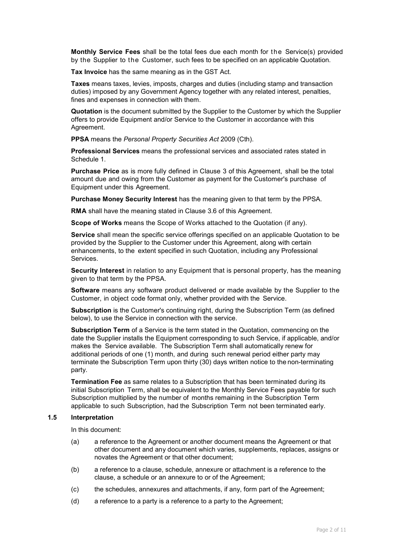**Monthly Service Fees** shall be the total fees due each month for the Service(s) provided by the Supplier to the Customer, such fees to be specified on an applicable Quotation.

**Tax Invoice** has the same meaning as in the GST Act.

**Taxes** means taxes, levies, imposts, charges and duties (including stamp and transaction duties) imposed by any Government Agency together with any related interest, penalties, fines and expenses in connection with them.

**Quotation** is the document submitted by the Supplier to the Customer by which the Supplier offers to provide Equipment and/or Service to the Customer in accordance with this Agreement.

**PPSA** means the *Personal Property Securities Act* 2009 (Cth).

**Professional Services** means the professional services and associated rates stated in Schedule 1.

**Purchase Price** as is more fully defined in Clause [3](#page-2-1) of this Agreement, shall be the total amount due and owing from the Customer as payment for the Customer's purchase of Equipment under this Agreement.

**Purchase Money Security Interest** has the meaning given to that term by the PPSA.

**RMA** shall have the meaning stated in Clause [3.6](#page-3-0) of this Agreement.

**Scope of Works** means the Scope of Works attached to the Quotation (if any).

**Service** shall mean the specific service offerings specified on an applicable Quotation to be provided by the Supplier to the Customer under this Agreement, along with certain enhancements, to the extent specified in such Quotation, including any Professional Services.

**Security Interest** in relation to any Equipment that is personal property, has the meaning given to that term by the PPSA.

**Software** means any software product delivered or made available by the Supplier to the Customer, in object code format only, whether provided with the Service.

**Subscription** is the Customer's continuing right, during the Subscription Term (as defined below), to use the Service in connection with the service.

**Subscription Term** of a Service is the term stated in the Quotation, commencing on the date the Supplier installs the Equipment corresponding to such Service, if applicable, and/or makes the Service available. The Subscription Term shall automatically renew for additional periods of one (1) month, and during such renewal period either party may terminate the Subscription Term upon thirty (30) days written notice to the non-terminating party.

**Termination Fee** as same relates to a Subscription that has been terminated during its initial Subscription Term, shall be equivalent to the Monthly Service Fees payable for such Subscription multiplied by the number of months remaining in the Subscription Term applicable to such Subscription, had the Subscription Term not been terminated early.

### **1.5 Interpretation**

In this document:

- (a) a reference to the Agreement or another document means the Agreement or that other document and any document which varies, supplements, replaces, assigns or novates the Agreement or that other document;
- (b) a reference to a clause, schedule, annexure or attachment is a reference to the clause, a schedule or an annexure to or of the Agreement;
- (c) the schedules, annexures and attachments, if any, form part of the Agreement;
- (d) a reference to a party is a reference to a party to the Agreement;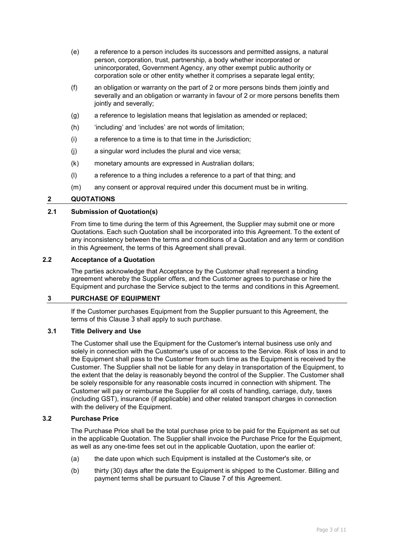- (e) a reference to a person includes its successors and permitted assigns, a natural person, corporation, trust, partnership, a body whether incorporated or unincorporated, Government Agency, any other exempt public authority or corporation sole or other entity whether it comprises a separate legal entity;
- (f) an obligation or warranty on the part of 2 or more persons binds them jointly and severally and an obligation or warranty in favour of 2 or more persons benefits them jointly and severally;
- (g) a reference to legislation means that legislation as amended or replaced;
- (h) 'including' and 'includes' are not words of limitation;
- (i) a reference to a time is to that time in the Jurisdiction;
- (j) a singular word includes the plural and vice versa;
- (k) monetary amounts are expressed in Australian dollars;
- (l) a reference to a thing includes a reference to a part of that thing; and
- (m) any consent or approval required under this document must be in writing.

### **2 QUOTATIONS**

### **2.1 Submission of Quotation(s)**

From time to time during the term of this Agreement, the Supplier may submit one or more Quotations. Each such Quotation shall be incorporated into this Agreement. To the extent of any inconsistency between the terms and conditions of a Quotation and any term or condition in this Agreement, the terms of this Agreement shall prevail.

### <span id="page-2-0"></span>**2.2 Acceptance of a Quotation**

The parties acknowledge that Acceptance by the Customer shall represent a binding agreement whereby the Supplier offers, and the Customer agrees to purchase or hire the Equipment and purchase the Service subject to the terms and conditions in this Agreement.

### <span id="page-2-1"></span>**3 PURCHASE OF EQUIPMENT**

If the Customer purchases Equipment from the Supplier pursuant to this Agreement, the terms of this Clause [3](#page-2-1) shall apply to such purchase.

### **3.1 Title Delivery and Use**

The Customer shall use the Equipment for the Customer's internal business use only and solely in connection with the Customer's use of or access to the Service. Risk of loss in and to the Equipment shall pass to the Customer from such time as the Equipment is received by the Customer. The Supplier shall not be liable for any delay in transportation of the Equipment, to the extent that the delay is reasonably beyond the control of the Supplier. The Customer shall be solely responsible for any reasonable costs incurred in connection with shipment. The Customer will pay or reimburse the Supplier for all costs of handling, carriage, duty, taxes (including GST), insurance (if applicable) and other related transport charges in connection with the delivery of the Equipment.

#### **3.2 Purchase Price**

The Purchase Price shall be the total purchase price to be paid for the Equipment as set out in the applicable Quotation. The Supplier shall invoice the Purchase Price for the Equipment, as well as any one-time fees set out in the applicable Quotation, upon the earlier of:

- (a) the date upon which such Equipment is installed at the Customer's site, or
- (b) thirty (30) days after the date the Equipment is shipped to the Customer. Billing and payment terms shall be pursuant to Clause [7](#page-6-0) of this Agreement.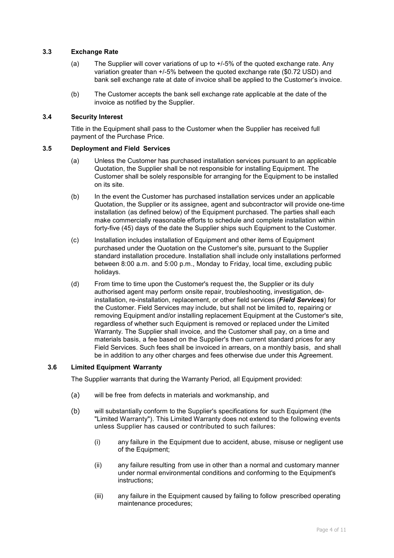### **3.3 Exchange Rate**

- (a) The Supplier will cover variations of up to +/-5% of the quoted exchange rate. Any variation greater than +/-5% between the quoted exchange rate (\$0.72 USD) and bank sell exchange rate at date of invoice shall be applied to the Customer's invoice.
- (b) The Customer accepts the bank sell exchange rate applicable at the date of the invoice as notified by the Supplier.

#### **3.4 Security Interest**

Title in the Equipment shall pass to the Customer when the Supplier has received full payment of the Purchase Price.

### **3.5 Deployment and Field Services**

- (a) Unless the Customer has purchased installation services pursuant to an applicable Quotation, the Supplier shall be not responsible for installing Equipment. The Customer shall be solely responsible for arranging for the Equipment to be installed on its site.
- (b) In the event the Customer has purchased installation services under an applicable Quotation, the Supplier or its assignee, agent and subcontractor will provide one-time installation (as defined below) of the Equipment purchased. The parties shall each make commercially reasonable efforts to schedule and complete installation within forty-five (45) days of the date the Supplier ships such Equipment to the Customer.
- (c) Installation includes installation of Equipment and other items of Equipment purchased under the Quotation on the Customer's site, pursuant to the Supplier standard installation procedure. Installation shall include only installations performed between 8:00 a.m. and 5:00 p.m., Monday to Friday, local time, excluding public holidays.
- (d) From time to time upon the Customer's request the, the Supplier or its duly authorised agent may perform onsite repair, troubleshooting, investigation, deinstallation, re-installation, replacement, or other field services (*Field Services*) for the Customer. Field Services may include, but shall not be limited to, repairing or removing Equipment and/or installing replacement Equipment at the Customer's site, regardless of whether such Equipment is removed or replaced under the Limited Warranty. The Supplier shall invoice, and the Customer shall pay, on a time and materials basis, a fee based on the Supplier's then current standard prices for any Field Services. Such fees shall be invoiced in arrears, on a monthly basis, and shall be in addition to any other charges and fees otherwise due under this Agreement.

### <span id="page-3-0"></span>**3.6 Limited Equipment Warranty**

The Supplier warrants that during the Warranty Period, all Equipment provided:

- (a) will be free from defects in materials and workmanship, and
- (b) will substantially conform to the Supplier's specifications for such Equipment (the "Limited Warranty"). This Limited Warranty does not extend to the following events unless Supplier has caused or contributed to such failures:
	- (i) any failure in the Equipment due to accident, abuse, misuse or negligent use of the Equipment;
	- (ii) any failure resulting from use in other than a normal and customary manner under normal environmental conditions and conforming to the Equipment's instructions;
	- (iii) any failure in the Equipment caused by failing to follow prescribed operating maintenance procedures;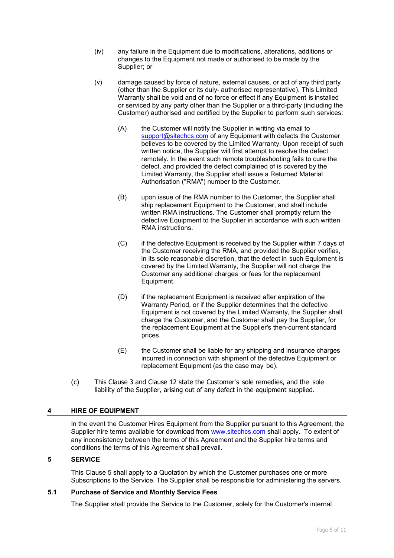- (iv) any failure in the Equipment due to modifications, alterations, additions or changes to the Equipment not made or authorised to be made by the Supplier; or
- (v) damage caused by force of nature, external causes, or act of any third party (other than the Supplier or its duly- authorised representative). This Limited Warranty shall be void and of no force or effect if any Equipment is installed or serviced by any party other than the Supplier or a third-party (including the Customer) authorised and certified by the Supplier to perform such services:
	- (A) the Customer will notify the Supplier in writing via email to [support@sitechcs.com](mailto:support@sitechcs.com) of any Equipment with defects the Customer believes to be covered by the Limited Warranty. Upon receipt of such written notice, the Supplier will first attempt to resolve the defect remotely. In the event such remote troubleshooting fails to cure the defect, and provided the defect complained of is covered by the Limited Warranty, the Supplier shall issue a Returned Material Authorisation ("RMA") number to the Customer.
	- (B) upon issue of the RMA number to the Customer, the Supplier shall ship replacement Equipment to the Customer, and shall include written RMA instructions. The Customer shall promptly return the defective Equipment to the Supplier in accordance with such written RMA instructions.
	- (C) if the defective Equipment is received by the Supplier within 7 days of the Customer receiving the RMA, and provided the Supplier verifies, in its sole reasonable discretion, that the defect in such Equipment is covered by the Limited Warranty, the Supplier will not charge the Customer any additional charges or fees for the replacement Equipment.
	- (D) if the replacement Equipment is received after expiration of the Warranty Period, or if the Supplier determines that the defective Equipment is not covered by the Limited Warranty, the Supplier shall charge the Customer, and the Customer shall pay the Supplier, for the replacement Equipment at the Supplier's then-current standard prices.
	- (E) the Customer shall be liable for any shipping and insurance charges incurred in connection with shipment of the defective Equipment or replacement Equipment (as the case may be).
- (c) This Clause [3](#page-2-1) and Clause [12](#page-8-0) state the Customer's sole remedies, and the sole liability of the Supplier, arising out of any defect in the equipment supplied.

### **4 HIRE OF EQUIPMENT**

In the event the Customer Hires Equipment from the Supplier pursuant to this Agreement, the Supplier hire terms available for download from [www.sitechcs.com](http://www.sitechcs.com/) shall apply. To extent of any inconsistency between the terms of this Agreement and the Supplier hire terms and conditions the terms of this Agreement shall prevail.

### <span id="page-4-0"></span>**5 SERVICE**

This Clause [5](#page-4-0) shall apply to a Quotation by which the Customer purchases one or more Subscriptions to the Service. The Supplier shall be responsible for administering the servers.

### **5.1 Purchase of Service and Monthly Service Fees**

The Supplier shall provide the Service to the Customer, solely for the Customer's internal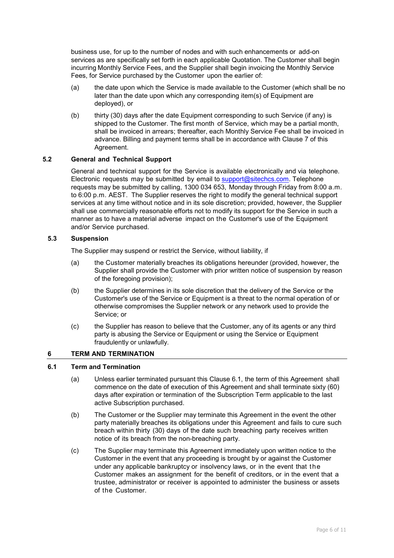business use, for up to the number of nodes and with such enhancements or add-on services as are specifically set forth in each applicable Quotation. The Customer shall begin incurring Monthly Service Fees, and the Supplier shall begin invoicing the Monthly Service Fees, for Service purchased by the Customer upon the earlier of:

- (a) the date upon which the Service is made available to the Customer (which shall be no later than the date upon which any corresponding item(s) of Equipment are deployed), or
- (b) thirty (30) days after the date Equipment corresponding to such Service (if any) is shipped to the Customer. The first month of Service, which may be a partial month, shall be invoiced in arrears; thereafter, each Monthly Service Fee shall be invoiced in advance. Billing and payment terms shall be in accordance with Clause [7](#page-6-0) of this Agreement.

### **5.2 General and Technical Support**

General and technical support for the Service is available electronically and via telephone. Electronic requests may be submitted by email to [support@sitechcs.com.](mailto:support@sitechcs.com) Telephone requests may be submitted by calling, 1300 034 653, Monday through Friday from 8:00 a.m. to 6:00 p.m. AEST. The Supplier reserves the right to modify the general technical support services at any time without notice and in its sole discretion; provided, however, the Supplier shall use commercially reasonable efforts not to modify its support for the Service in such a manner as to have a material adverse impact on the Customer's use of the Equipment and/or Service purchased.

### **5.3 Suspension**

The Supplier may suspend or restrict the Service, without liability, if

- (a) the Customer materially breaches its obligations hereunder (provided, however, the Supplier shall provide the Customer with prior written notice of suspension by reason of the foregoing provision);
- (b) the Supplier determines in its sole discretion that the delivery of the Service or the Customer's use of the Service or Equipment is a threat to the normal operation of or otherwise compromises the Supplier network or any network used to provide the Service; or
- (c) the Supplier has reason to believe that the Customer, any of its agents or any third party is abusing the Service or Equipment or using the Service or Equipment fraudulently or unlawfully.

### <span id="page-5-1"></span>**6 TERM AND TERMINATION**

### <span id="page-5-0"></span>**6.1 Term and Termination**

- (a) Unless earlier terminated pursuant this Clause [6.1,](#page-5-0) the term of this Agreement shall commence on the date of execution of this Agreement and shall terminate sixty (60) days after expiration or termination of the Subscription Term applicable to the last active Subscription purchased.
- (b) The Customer or the Supplier may terminate this Agreement in the event the other party materially breaches its obligations under this Agreement and fails to cure such breach within thirty (30) days of the date such breaching party receives written notice of its breach from the non-breaching party.
- (c) The Supplier may terminate this Agreement immediately upon written notice to the Customer in the event that any proceeding is brought by or against the Customer under any applicable bankruptcy or insolvency laws, or in the event that the Customer makes an assignment for the benefit of creditors, or in the event that a trustee, administrator or receiver is appointed to administer the business or assets of the Customer.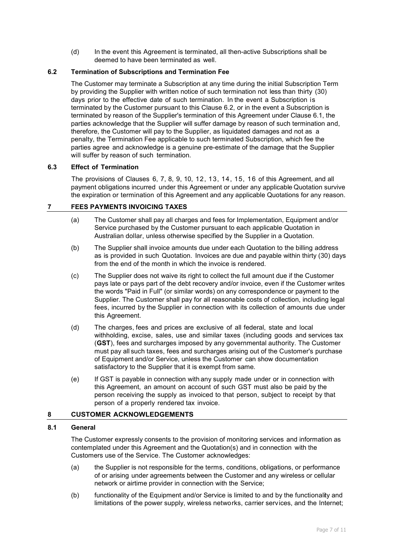(d) In the event this Agreement is terminated, all then-active Subscriptions shall be deemed to have been terminated as well.

## <span id="page-6-1"></span>**6.2 Termination of Subscriptions and Termination Fee**

The Customer may terminate a Subscription at any time during the initial Subscription Term by providing the Supplier with written notice of such termination not less than thirty (30) days prior to the effective date of such termination. In the event a Subscription is terminated by the Customer pursuant to this Clause [6.2,](#page-6-1) or in the event a Subscription is terminated by reason of the Supplier's termination of this Agreement under Clause [6.1,](#page-5-0) the parties acknowledge that the Supplier will suffer damage by reason of such termination and, therefore, the Customer will pay to the Supplier, as liquidated damages and not as a penalty, the Termination Fee applicable to such terminated Subscription, which fee the parties agree and acknowledge is a genuine pre-estimate of the damage that the Supplier will suffer by reason of such termination.

### **6.3 Effect of Termination**

The provisions of Clauses [6,](#page-5-1) [7,](#page-6-0) [8,](#page-6-2) [9,](#page-7-0) [10,](#page-8-1) [12,](#page-8-0) [13,](#page-9-0) [14,](#page-10-1) [15,](#page-10-0) [1 6](#page-11-0) of this Agreement, and all payment obligations incurred under this Agreement or under any applicable Quotation survive the expiration or termination of this Agreement and any applicable Quotations for any reason.

## <span id="page-6-0"></span>**7 FEES PAYMENTS INVOICING TAXES**

- (a) The Customer shall pay all charges and fees for Implementation, Equipment and/or Service purchased by the Customer pursuant to each applicable Quotation in Australian dollar, unless otherwise specified by the Supplier in a Quotation.
- (b) The Supplier shall invoice amounts due under each Quotation to the billing address as is provided in such Quotation. Invoices are due and payable within thirty (30) days from the end of the month in which the invoice is rendered.
- (c) The Supplier does not waive its right to collect the full amount due if the Customer pays late or pays part of the debt recovery and/or invoice, even if the Customer writes the words "Paid in Full" (or similar words) on any correspondence or payment to the Supplier. The Customer shall pay for all reasonable costs of collection, including legal fees, incurred by the Supplier in connection with its collection of amounts due under this Agreement.
- (d) The charges, fees and prices are exclusive of all federal, state and local withholding, excise, sales, use and similar taxes (including goods and services tax (**GST**), fees and surcharges imposed by any governmental authority. The Customer must pay all such taxes, fees and surcharges arising out of the Customer's purchase of Equipment and/or Service, unless the Customer can show documentation satisfactory to the Supplier that it is exempt from same.
- (e) If GST is payable in connection with any supply made under or in connection with this Agreement, an amount on account of such GST must also be paid by the person receiving the supply as invoiced to that person, subject to receipt by that person of a properly rendered tax invoice.

## <span id="page-6-2"></span>**8 CUSTOMER ACKNOWLEDGEMENTS**

### **8.1 General**

The Customer expressly consents to the provision of monitoring services and information as contemplated under this Agreement and the Quotation(s) and in connection with the Customers use of the Service. The Customer acknowledges:

- (a) the Supplier is not responsible for the terms, conditions, obligations, or performance of or arising under agreements between the Customer and any wireless or cellular network or airtime provider in connection with the Service;
- (b) functionality of the Equipment and/or Service is limited to and by the functionality and limitations of the power supply, wireless networks, carrier services, and the Internet;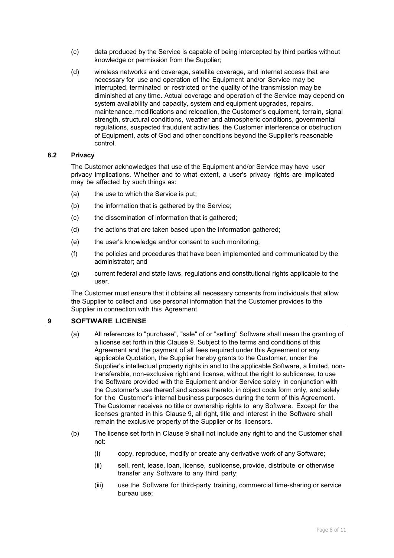- (c) data produced by the Service is capable of being intercepted by third parties without knowledge or permission from the Supplier;
- (d) wireless networks and coverage, satellite coverage, and internet access that are necessary for use and operation of the Equipment and/or Service may be interrupted, terminated or restricted or the quality of the transmission may be diminished at any time. Actual coverage and operation of the Service may depend on system availability and capacity, system and equipment upgrades, repairs, maintenance, modifications and relocation, the Customer's equipment, terrain, signal strength, structural conditions, weather and atmospheric conditions, governmental regulations, suspected fraudulent activities, the Customer interference or obstruction of Equipment, acts of God and other conditions beyond the Supplier's reasonable control.

### **8.2 Privacy**

The Customer acknowledges that use of the Equipment and/or Service may have user privacy implications. Whether and to what extent, a user's privacy rights are implicated may be affected by such things as:

- (a) the use to which the Service is put;
- (b) the information that is gathered by the Service;
- (c) the dissemination of information that is gathered;
- (d) the actions that are taken based upon the information gathered;
- (e) the user's knowledge and/or consent to such monitoring;
- (f) the policies and procedures that have been implemented and communicated by the administrator; and
- (g) current federal and state laws, regulations and constitutional rights applicable to the user.

The Customer must ensure that it obtains all necessary consents from individuals that allow the Supplier to collect and use personal information that the Customer provides to the Supplier in connection with this Agreement.

### <span id="page-7-0"></span>**9 SOFTWARE LICENSE**

- (a) All references to "purchase", "sale" of or "selling" Software shall mean the granting of a license set forth in this Clause [9.](#page-7-0) Subject to the terms and conditions of this Agreement and the payment of all fees required under this Agreement or any applicable Quotation, the Supplier hereby grants to the Customer, under the Supplier's intellectual property rights in and to the applicable Software, a limited, nontransferable, non-exclusive right and license, without the right to sublicense, to use the Software provided with the Equipment and/or Service solely in conjunction with the Customer's use thereof and access thereto, in object code form only, and solely for the Customer's internal business purposes during the term of this Agreement. The Customer receives no title or ownership rights to any Software. Except for the licenses granted in this Clause [9,](#page-7-0) all right, title and interest in the Software shall remain the exclusive property of the Supplier or its licensors.
- (b) The license set forth in Clause [9](#page-7-0) shall not include any right to and the Customer shall not:
	- (i) copy, reproduce, modify or create any derivative work of any Software;
	- (ii) sell, rent, lease, loan, license, sublicense, provide, distribute or otherwise transfer any Software to any third party;
	- (iii) use the Software for third-party training, commercial time-sharing or service bureau use;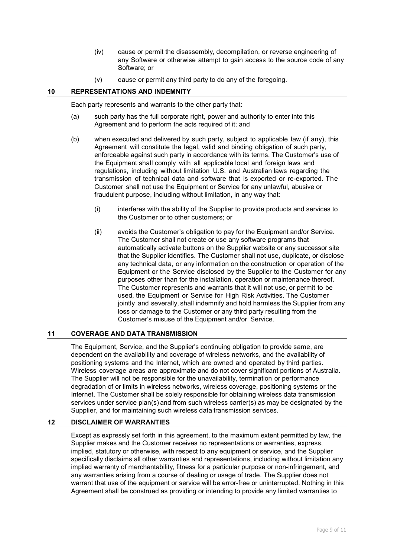- (iv) cause or permit the disassembly, decompilation, or reverse engineering of any Software or otherwise attempt to gain access to the source code of any Software; or
- (v) cause or permit any third party to do any of the foregoing.

### <span id="page-8-1"></span>**10 REPRESENTATIONS AND INDEMNITY**

Each party represents and warrants to the other party that:

- (a) such party has the full corporate right, power and authority to enter into this Agreement and to perform the acts required of it; and
- (b) when executed and delivered by such party, subject to applicable law (if any), this Agreement will constitute the legal, valid and binding obligation of such party, enforceable against such party in accordance with its terms. The Customer's use of the Equipment shall comply with all applicable local and foreign laws and regulations, including without limitation U.S. and Australian laws regarding the transmission of technical data and software that is exported or re-exported. The Customer shall not use the Equipment or Service for any unlawful, abusive or fraudulent purpose, including without limitation, in any way that:
	- (i) interferes with the ability of the Supplier to provide products and services to the Customer or to other customers; or
	- (ii) avoids the Customer's obligation to pay for the Equipment and/or Service. The Customer shall not create or use any software programs that automatically activate buttons on the Supplier website or any successor site that the Supplier identifies. The Customer shall not use, duplicate, or disclose any technical data, or any information on the construction or operation of the Equipment or the Service disclosed by the Supplier to the Customer for any purposes other than for the installation, operation or maintenance thereof. The Customer represents and warrants that it will not use, or permit to be used, the Equipment or Service for High Risk Activities. The Customer jointly and severally, shall indemnify and hold harmless the Supplier from any loss or damage to the Customer or any third party resulting from the Customer's misuse of the Equipment and/or Service.

### **11 COVERAGE AND DATA TRANSMISSION**

The Equipment, Service, and the Supplier's continuing obligation to provide same, are dependent on the availability and coverage of wireless networks, and the availability of positioning systems and the Internet, which are owned and operated by third parties. Wireless coverage areas are approximate and do not cover significant portions of Australia. The Supplier will not be responsible for the unavailability, termination or performance degradation of or limits in wireless networks, wireless coverage, positioning systems or the Internet. The Customer shall be solely responsible for obtaining wireless data transmission services under service plan(s) and from such wireless carrier(s) as may be designated by the Supplier, and for maintaining such wireless data transmission services.

## <span id="page-8-0"></span>**12 DISCLAIMER OF WARRANTIES**

Except as expressly set forth in this agreement, to the maximum extent permitted by law, the Supplier makes and the Customer receives no representations or warranties, express, implied, statutory or otherwise, with respect to any equipment or service, and the Supplier specifically disclaims all other warranties and representations, including without limitation any implied warranty of merchantability, fitness for a particular purpose or non-infringement, and any warranties arising from a course of dealing or usage of trade. The Supplier does not warrant that use of the equipment or service will be error-free or uninterrupted. Nothing in this Agreement shall be construed as providing or intending to provide any limited warranties to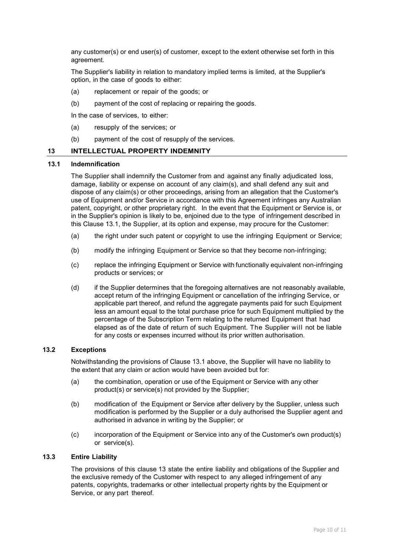any customer(s) or end user(s) of customer, except to the extent otherwise set forth in this agreement.

The Supplier's liability in relation to mandatory implied terms is limited, at the Supplier's option, in the case of goods to either:

- (a) replacement or repair of the goods; or
- (b) payment of the cost of replacing or repairing the goods.

In the case of services, to either:

- (a) resupply of the services; or
- (b) payment of the cost of resupply of the services.

#### <span id="page-9-0"></span>**13 INTELLECTUAL PROPERTY INDEMNITY**

#### <span id="page-9-1"></span>**13.1 Indemnification**

The Supplier shall indemnify the Customer from and against any finally adjudicated loss, damage, liability or expense on account of any claim(s), and shall defend any suit and dispose of any claim(s) or other proceedings, arising from an allegation that the Customer's use of Equipment and/or Service in accordance with this Agreement infringes any Australian patent, copyright, or other proprietary right. In the event that the Equipment or Service is, or in the Supplier's opinion is likely to be, enjoined due to the type of infringement described in this Clause [13.1,](#page-9-1) the Supplier, at its option and expense, may procure for the Customer:

- (a) the right under such patent or copyright to use the infringing Equipment or Service;
- (b) modify the infringing Equipment or Service so that they become non-infringing;
- (c) replace the infringing Equipment or Service with functionally equivalent non-infringing products or services; or
- (d) if the Supplier determines that the foregoing alternatives are not reasonably available, accept return of the infringing Equipment or cancellation of the infringing Service, or applicable part thereof, and refund the aggregate payments paid for such Equipment less an amount equal to the total purchase price for such Equipment multiplied by the percentage of the Subscription Term relating to the returned Equipment that had elapsed as of the date of return of such Equipment. The Supplier will not be liable for any costs or expenses incurred without its prior written authorisation.

#### **13.2 Exceptions**

Notwithstanding the provisions of Clause [13.1](#page-9-1) above, the Supplier will have no liability to the extent that any claim or action would have been avoided but for:

- (a) the combination, operation or use of the Equipment or Service with any other product(s) or service(s) not provided by the Supplier;
- (b) modification of the Equipment or Service after delivery by the Supplier, unless such modification is performed by the Supplier or a duly authorised the Supplier agent and authorised in advance in writing by the Supplier; or
- (c) incorporation of the Equipment or Service into any of the Customer's own product(s) or service(s).

## **13.3 Entire Liability**

The provisions of this clause [13](#page-9-0) state the entire liability and obligations of the Supplier and the exclusive remedy of the Customer with respect to any alleged infringement of any patents, copyrights, trademarks or other intellectual property rights by the Equipment or Service, or any part thereof.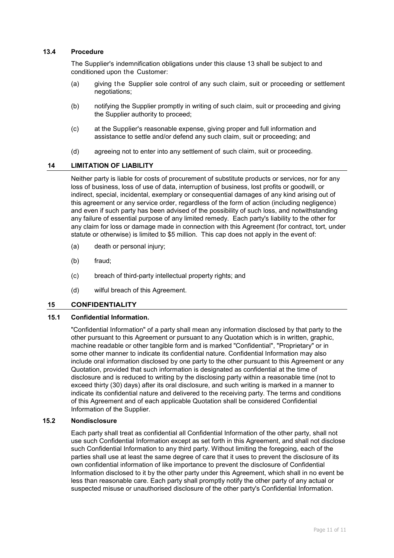### **13.4 Procedure**

The Supplier's indemnification obligations under this clause [13](#page-9-0) shall be subject to and conditioned upon the Customer:

- (a) giving the Supplier sole control of any such claim, suit or proceeding or settlement negotiations;
- (b) notifying the Supplier promptly in writing of such claim, suit or proceeding and giving the Supplier authority to proceed;
- (c) at the Supplier's reasonable expense, giving proper and full information and assistance to settle and/or defend any such claim, suit or proceeding; and
- (d) agreeing not to enter into any settlement of such claim, suit or proceeding.

#### <span id="page-10-1"></span>**14 LIMITATION OF LIABILITY**

Neither party is liable for costs of procurement of substitute products or services, nor for any loss of business, loss of use of data, interruption of business, lost profits or goodwill, or indirect, special, incidental, exemplary or consequential damages of any kind arising out of this agreement or any service order, regardless of the form of action (including negligence) and even if such party has been advised of the possibility of such loss, and notwithstanding any failure of essential purpose of any limited remedy. Each party's liability to the other for any claim for loss or damage made in connection with this Agreement (for contract, tort, under statute or otherwise) is limited to \$5 million. This cap does not apply in the event of:

- (a) death or personal injury;
- (b) fraud;
- (c) breach of third-party intellectual property rights; and
- (d) wilful breach of this Agreement.

### <span id="page-10-0"></span>**15 CONFIDENTIALITY**

### **15.1 Confidential Information.**

"Confidential Information" of a party shall mean any information disclosed by that party to the other pursuant to this Agreement or pursuant to any Quotation which is in written, graphic, machine readable or other tangible form and is marked "Confidential", "Proprietary" or in some other manner to indicate its confidential nature. Confidential Information may also include oral information disclosed by one party to the other pursuant to this Agreement or any Quotation, provided that such information is designated as confidential at the time of disclosure and is reduced to writing by the disclosing party within a reasonable time (not to exceed thirty (30) days) after its oral disclosure, and such writing is marked in a manner to indicate its confidential nature and delivered to the receiving party. The terms and conditions of this Agreement and of each applicable Quotation shall be considered Confidential Information of the Supplier.

#### **15.2 Nondisclosure**

Each party shall treat as confidential all Confidential Information of the other party, shall not use such Confidential Information except as set forth in this Agreement, and shall not disclose such Confidential Information to any third party. Without limiting the foregoing, each of the parties shall use at least the same degree of care that it uses to prevent the disclosure of its own confidential information of like importance to prevent the disclosure of Confidential Information disclosed to it by the other party under this Agreement, which shall in no event be less than reasonable care. Each party shall promptly notify the other party of any actual or suspected misuse or unauthorised disclosure of the other party's Confidential Information.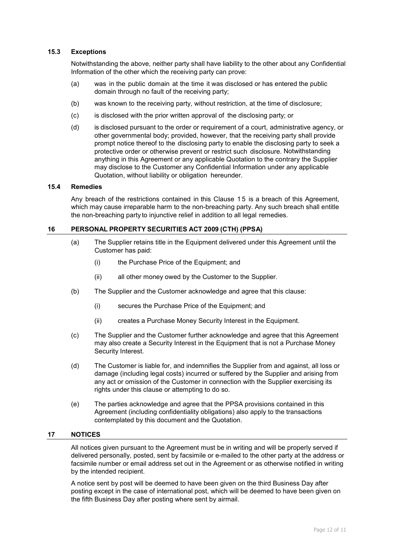### **15.3 Exceptions**

Notwithstanding the above, neither party shall have liability to the other about any Confidential Information of the other which the receiving party can prove:

- (a) was in the public domain at the time it was disclosed or has entered the public domain through no fault of the receiving party;
- (b) was known to the receiving party, without restriction, at the time of disclosure;
- (c) is disclosed with the prior written approval of the disclosing party; or
- (d) is disclosed pursuant to the order or requirement of a court, administrative agency, or other governmental body; provided, however, that the receiving party shall provide prompt notice thereof to the disclosing party to enable the disclosing party to seek a protective order or otherwise prevent or restrict such disclosure. Notwithstanding anything in this Agreement or any applicable Quotation to the contrary the Supplier may disclose to the Customer any Confidential Information under any applicable Quotation, without liability or obligation hereunder.

#### **15.4 Remedies**

Any breach of the restrictions contained in this Clause [1 5](#page-10-0) is a breach of this Agreement, which may cause irreparable harm to the non-breaching party. Any such breach shall entitle the non-breaching party to injunctive relief in addition to all legal remedies.

#### <span id="page-11-0"></span>**16 PERSONAL PROPERTY SECURITIES ACT 2009 (CTH) (PPSA)**

- (a) The Supplier retains title in the Equipment delivered under this Agreement until the Customer has paid:
	- (i) the Purchase Price of the Equipment; and
	- (ii) all other money owed by the Customer to the Supplier.
- (b) The Supplier and the Customer acknowledge and agree that this clause:
	- (i) secures the Purchase Price of the Equipment; and
	- (ii) creates a Purchase Money Security Interest in the Equipment.
- (c) The Supplier and the Customer further acknowledge and agree that this Agreement may also create a Security Interest in the Equipment that is not a Purchase Money Security Interest.
- (d) The Customer is liable for, and indemnifies the Supplier from and against, all loss or damage (including legal costs) incurred or suffered by the Supplier and arising from any act or omission of the Customer in connection with the Supplier exercising its rights under this clause or attempting to do so.
- (e) The parties acknowledge and agree that the PPSA provisions contained in this Agreement (including confidentiality obligations) also apply to the transactions contemplated by this document and the Quotation.

#### **17 NOTICES**

All notices given pursuant to the Agreement must be in writing and will be properly served if delivered personally, posted, sent by facsimile or e-mailed to the other party at the address or facsimile number or email address set out in the Agreement or as otherwise notified in writing by the intended recipient.

A notice sent by post will be deemed to have been given on the third Business Day after posting except in the case of international post, which will be deemed to have been given on the fifth Business Day after posting where sent by airmail.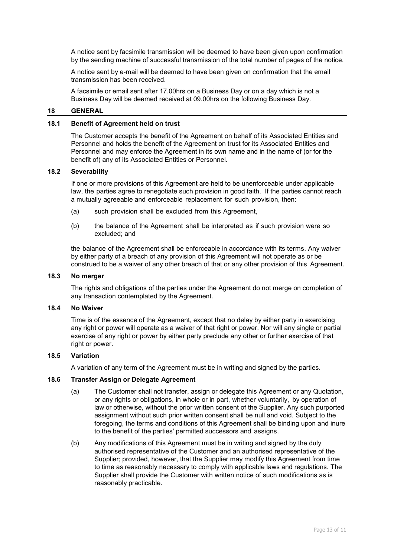A notice sent by facsimile transmission will be deemed to have been given upon confirmation by the sending machine of successful transmission of the total number of pages of the notice.

A notice sent by e-mail will be deemed to have been given on confirmation that the email transmission has been received.

A facsimile or email sent after 17.00hrs on a Business Day or on a day which is not a Business Day will be deemed received at 09.00hrs on the following Business Day.

#### **18 GENERAL**

### **18.1 Benefit of Agreement held on trust**

The Customer accepts the benefit of the Agreement on behalf of its Associated Entities and Personnel and holds the benefit of the Agreement on trust for its Associated Entities and Personnel and may enforce the Agreement in its own name and in the name of (or for the benefit of) any of its Associated Entities or Personnel.

#### **18.2 Severability**

If one or more provisions of this Agreement are held to be unenforceable under applicable law, the parties agree to renegotiate such provision in good faith. If the parties cannot reach a mutually agreeable and enforceable replacement for such provision, then:

- (a) such provision shall be excluded from this Agreement,
- (b) the balance of the Agreement shall be interpreted as if such provision were so excluded; and

the balance of the Agreement shall be enforceable in accordance with its terms. Any waiver by either party of a breach of any provision of this Agreement will not operate as or be construed to be a waiver of any other breach of that or any other provision of this Agreement.

#### **18.3 No merger**

The rights and obligations of the parties under the Agreement do not merge on completion of any transaction contemplated by the Agreement.

#### **18.4 No Waiver**

Time is of the essence of the Agreement, except that no delay by either party in exercising any right or power will operate as a waiver of that right or power. Nor will any single or partial exercise of any right or power by either party preclude any other or further exercise of that right or power.

### **18.5 Variation**

A variation of any term of the Agreement must be in writing and signed by the parties.

#### **18.6 Transfer Assign or Delegate Agreement**

- (a) The Customer shall not transfer, assign or delegate this Agreement or any Quotation, or any rights or obligations, in whole or in part, whether voluntarily, by operation of law or otherwise, without the prior written consent of the Supplier. Any such purported assignment without such prior written consent shall be null and void. Subject to the foregoing, the terms and conditions of this Agreement shall be binding upon and inure to the benefit of the parties' permitted successors and assigns.
- (b) Any modifications of this Agreement must be in writing and signed by the duly authorised representative of the Customer and an authorised representative of the Supplier; provided, however, that the Supplier may modify this Agreement from time to time as reasonably necessary to comply with applicable laws and regulations. The Supplier shall provide the Customer with written notice of such modifications as is reasonably practicable.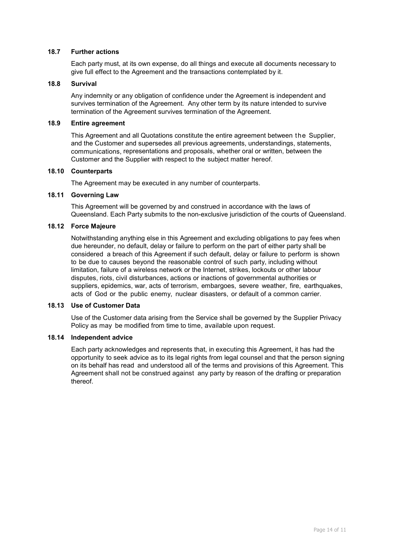### **18.7 Further actions**

Each party must, at its own expense, do all things and execute all documents necessary to give full effect to the Agreement and the transactions contemplated by it.

### **18.8 Survival**

Any indemnity or any obligation of confidence under the Agreement is independent and survives termination of the Agreement. Any other term by its nature intended to survive termination of the Agreement survives termination of the Agreement.

### **18.9 Entire agreement**

This Agreement and all Quotations constitute the entire agreement between the Supplier, and the Customer and supersedes all previous agreements, understandings, statements, communications, representations and proposals, whether oral or written, between the Customer and the Supplier with respect to the subject matter hereof.

### **18.10 Counterparts**

The Agreement may be executed in any number of counterparts.

## **18.11 Governing Law**

This Agreement will be governed by and construed in accordance with the laws of Queensland. Each Party submits to the non-exclusive jurisdiction of the courts of Queensland.

### **18.12 Force Majeure**

Notwithstanding anything else in this Agreement and excluding obligations to pay fees when due hereunder, no default, delay or failure to perform on the part of either party shall be considered a breach of this Agreement if such default, delay or failure to perform is shown to be due to causes beyond the reasonable control of such party, including without limitation, failure of a wireless network or the Internet, strikes, lockouts or other labour disputes, riots, civil disturbances, actions or inactions of governmental authorities or suppliers, epidemics, war, acts of terrorism, embargoes, severe weather, fire, earthquakes, acts of God or the public enemy, nuclear disasters, or default of a common carrier.

#### **18.13 Use of Customer Data**

Use of the Customer data arising from the Service shall be governed by the Supplier Privacy Policy as may be modified from time to time, available upon request.

### **18.14 Independent advice**

Each party acknowledges and represents that, in executing this Agreement, it has had the opportunity to seek advice as to its legal rights from legal counsel and that the person signing on its behalf has read and understood all of the terms and provisions of this Agreement. This Agreement shall not be construed against any party by reason of the drafting or preparation thereof.